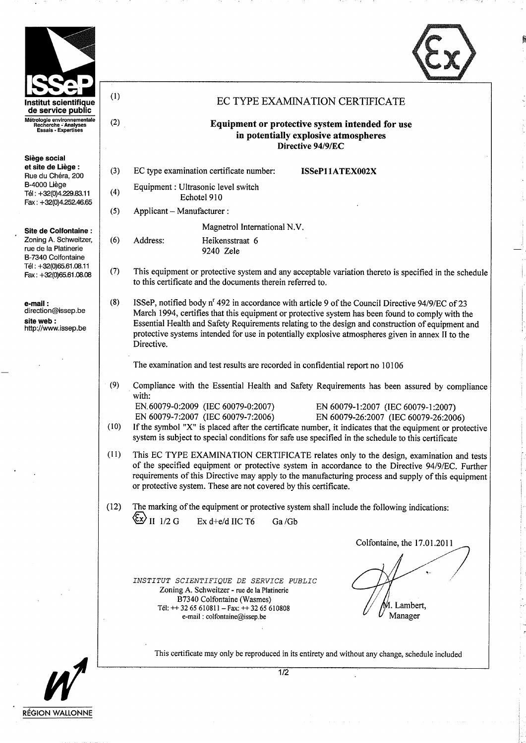

(l)

(2)

Siège social et site de Liège : Rue du Chéra, 200 8-4000 Liège Tél: +32(0)4.2æ.83.11  $Fax: +32(0)4.252.46.65$ 

Site de Colfontaine : Zoning A. Schweitzer, rue de Ia Platinerie B-7340 Colfontaine Tél : +32(0)65.61.08.1 1 Fax : +32(0)65.61.08.08

e-mail : direction@issep.be site web : http://www.issep.be



Ė

EC TYPE EXAMINATION CERTIFICATE

Equipment or protective system intended for use in potentially explosive atmospheres Directive 94/9/EC

| (3)  | EC type examination certificate number:<br>ISSeP11ATEX002X                                                                                                                                                                                                                                                                                                                                                                              |
|------|-----------------------------------------------------------------------------------------------------------------------------------------------------------------------------------------------------------------------------------------------------------------------------------------------------------------------------------------------------------------------------------------------------------------------------------------|
| (4)  | Equipment : Ultrasonic level switch<br>Echotel 910                                                                                                                                                                                                                                                                                                                                                                                      |
| (5)  | Applicant - Manufacturer :                                                                                                                                                                                                                                                                                                                                                                                                              |
|      | Magnetrol International N.V.                                                                                                                                                                                                                                                                                                                                                                                                            |
| (6)  | Address:<br>Heikensstraat 6<br>9240 Zele                                                                                                                                                                                                                                                                                                                                                                                                |
| (7)  | This equipment or protective system and any acceptable variation thereto is specified in the schedule<br>to this certificate and the documents therein referred to.                                                                                                                                                                                                                                                                     |
| (8)  | ISSeP, notified body n <sup>r</sup> 492 in accordance with article 9 of the Council Directive 94/9/EC of 23<br>March 1994, certifies that this equipment or protective system has been found to comply with the<br>Essential Health and Safety Requirements relating to the design and construction of equipment and<br>protective systems intended for use in potentially explosive atmospheres given in annex II to the<br>Directive. |
|      | The examination and test results are recorded in confidential report no 10106                                                                                                                                                                                                                                                                                                                                                           |
| (9)  | Compliance with the Essential Health and Safety Requirements has been assured by compliance<br>with:<br>EN.60079-0:2009 (IEC 60079-0:2007)<br>EN 60079-1:2007 (IEC 60079-1:2007)<br>EN 60079-7:2007 (IEC 60079-7:2006)<br>EN 60079-26:2007 (IEC 60079-26:2006)                                                                                                                                                                          |
| (10) | If the symbol "X" is placed after the certificate number, it indicates that the equipment or protective<br>system is subject to special conditions for safe use specified in the schedule to this certificate                                                                                                                                                                                                                           |
| (11) | This EC TYPE EXAMINATION CERTIFICATE relates only to the design, examination and tests<br>of the specified equipment or protective system in accordance to the Directive 94/9/EC. Further<br>requirements of this Directive may apply to the manufacturing process and supply of this equipment<br>or protective system. These are not covered by this certificate.                                                                     |
| (12) | The marking of the equipment or protective system shall include the following indications:                                                                                                                                                                                                                                                                                                                                              |
|      | ξx)<br>II $1/2$ G<br>Ex d+e/d IIC T6<br>Ga/Gb                                                                                                                                                                                                                                                                                                                                                                                           |
|      | Colfontaine, the 17.01.2011                                                                                                                                                                                                                                                                                                                                                                                                             |
|      | INSTITUT SCIENTIFIQUE DE SERVICE PUBLIC<br>Zoning A. Schweitzer - rue de la Platinerie<br>B7340 Colfontaine (Wasmes)<br>M. Lambert,<br>Tél: ++ 32 65 610811 - Fax: ++ 32 65 610808<br>Manager<br>e-mail: colfontaine@issep.be                                                                                                                                                                                                           |
|      | This certificate may only be reproduced in its entirety and without any change, schedule included                                                                                                                                                                                                                                                                                                                                       |



 $\overline{1/2}$